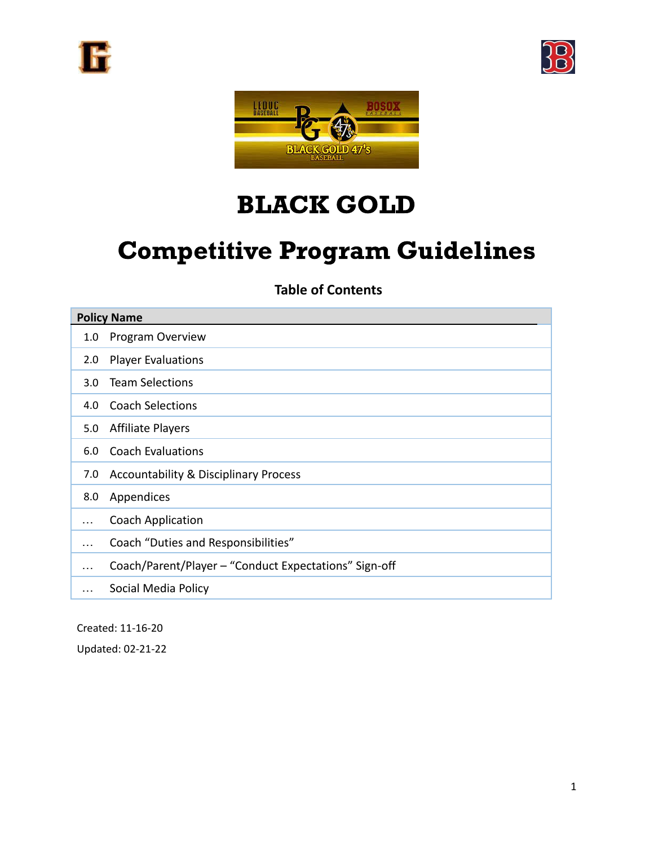





# BLACK GOLD

# Competitive Program Guidelines

### **Table of Contents**

| <b>Policy Name</b> |                                                       |
|--------------------|-------------------------------------------------------|
| 1.0                | Program Overview                                      |
| 2.0 <sub>2</sub>   | <b>Player Evaluations</b>                             |
| 3.0 <sub>2</sub>   | <b>Team Selections</b>                                |
| 4.0                | <b>Coach Selections</b>                               |
| 5.0                | <b>Affiliate Players</b>                              |
| 6.0                | <b>Coach Evaluations</b>                              |
| 7.0                | <b>Accountability &amp; Disciplinary Process</b>      |
| 8.0                | Appendices                                            |
|                    | <b>Coach Application</b>                              |
| $\cdots$           | Coach "Duties and Responsibilities"                   |
| $\cdots$           | Coach/Parent/Player - "Conduct Expectations" Sign-off |
|                    | Social Media Policy                                   |

Created: 11-16-20 Updated: 02-21-22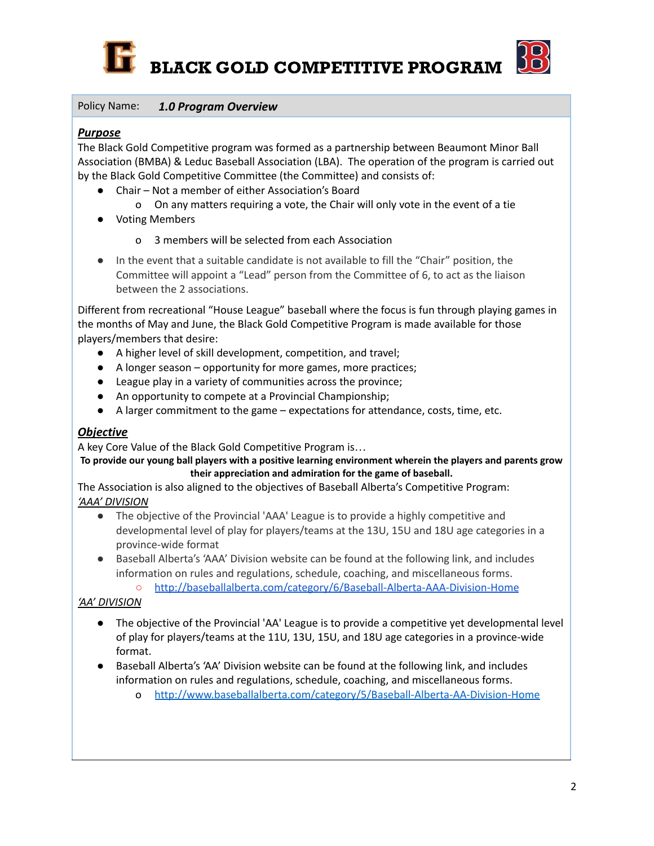



#### Policy Name: *1.0 Program Overview*

#### *Purpose*

The Black Gold Competitive program was formed as a partnership between Beaumont Minor Ball Association (BMBA) & Leduc Baseball Association (LBA). The operation of the program is carried out by the Black Gold Competitive Committee (the Committee) and consists of:

- Chair Not a member of either Association's Board
	- o On any matters requiring a vote, the Chair will only vote in the event of a tie
- Voting Members
	- o 3 members will be selected from each Association
- In the event that a suitable candidate is not available to fill the "Chair" position, the Committee will appoint a "Lead" person from the Committee of 6, to act as the liaison between the 2 associations.

Different from recreational "House League" baseball where the focus is fun through playing games in the months of May and June, the Black Gold Competitive Program is made available for those players/members that desire:

- A higher level of skill development, competition, and travel;
- A longer season opportunity for more games, more practices;
- League play in a variety of communities across the province;
- An opportunity to compete at a Provincial Championship;
- A larger commitment to the game expectations for attendance, costs, time, etc.

#### *Objective*

A key Core Value of the Black Gold Competitive Program is…

To provide our young ball players with a positive learning environment wherein the players and parents grow **their appreciation and admiration for the game of baseball.**

The Association is also aligned to the objectives of Baseball Alberta's Competitive Program: *'AAA' DIVISION*

- The objective of the Provincial 'AAA' League is to provide a highly competitive and developmental level of play for players/teams at the 13U, 15U and 18U age categories in a province-wide format
- Baseball Alberta's 'AAA' Division website can be found at the following link, and includes information on rules and regulations, schedule, coaching, and miscellaneous forms.
	- <http://baseballalberta.com/category/6/Baseball-Alberta-AAA-Division-Home>

#### *'AA' DIVISION*

- The objective of the Provincial 'AA' League is to provide a competitive yet developmental level of play for players/teams at the 11U, 13U, 15U, and 18U age categories in a province-wide format.
- Baseball Alberta's 'AA' Division website can be found at the following link, and includes information on rules and regulations, schedule, coaching, and miscellaneous forms.
	- o <http://www.baseballalberta.com/category/5/Baseball-Alberta-AA-Division-Home>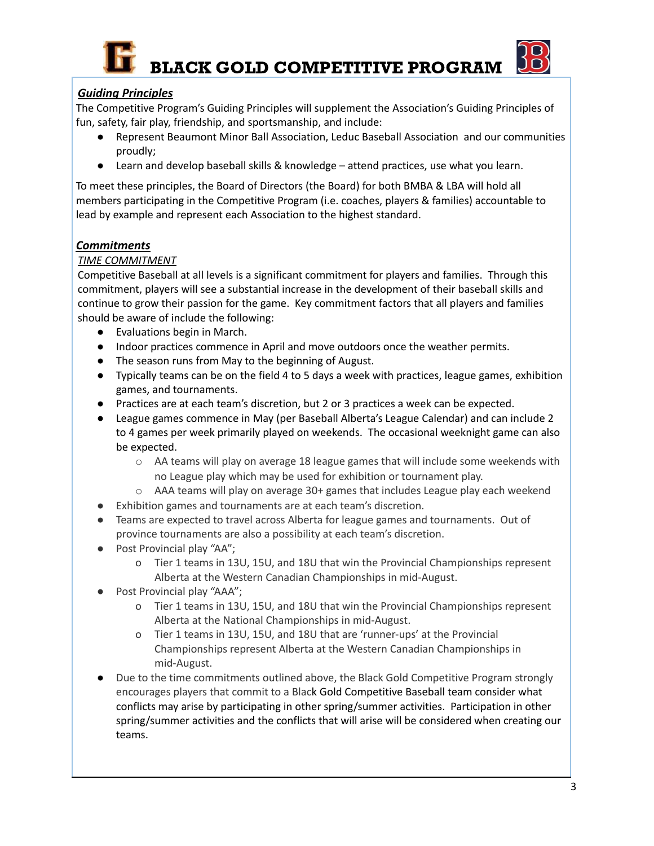



#### *Guiding Principles*

The Competitive Program's Guiding Principles will supplement the Association's Guiding Principles of fun, safety, fair play, friendship, and sportsmanship, and include:

- Represent Beaumont Minor Ball Association, Leduc Baseball Association and our communities proudly;
- Learn and develop baseball skills & knowledge attend practices, use what you learn.

To meet these principles, the Board of Directors (the Board) for both BMBA & LBA will hold all members participating in the Competitive Program (i.e. coaches, players & families) accountable to lead by example and represent each Association to the highest standard.

#### *Commitments*

#### *TIME COMMITMENT*

Competitive Baseball at all levels is a significant commitment for players and families. Through this commitment, players will see a substantial increase in the development of their baseball skills and continue to grow their passion for the game. Key commitment factors that all players and families should be aware of include the following:

- Evaluations begin in March.
- Indoor practices commence in April and move outdoors once the weather permits.
- The season runs from May to the beginning of August.
- Typically teams can be on the field 4 to 5 days a week with practices, league games, exhibition games, and tournaments.
- Practices are at each team's discretion, but 2 or 3 practices a week can be expected.
- League games commence in May (per Baseball Alberta's League Calendar) and can include 2 to 4 games per week primarily played on weekends. The occasional weeknight game can also be expected.
	- o AA teams will play on average 18 league games that will include some weekends with no League play which may be used for exhibition or tournament play.
	- o AAA teams will play on average 30+ games that includes League play each weekend
- Exhibition games and tournaments are at each team's discretion.
- Teams are expected to travel across Alberta for league games and tournaments. Out of province tournaments are also a possibility at each team's discretion.
- Post Provincial play "AA";
	- o Tier 1 teams in 13U, 15U, and 18U that win the Provincial Championships represent Alberta at the Western Canadian Championships in mid-August.
- Post Provincial play "AAA";
	- o Tier 1 teams in 13U, 15U, and 18U that win the Provincial Championships represent Alberta at the National Championships in mid-August.
	- o Tier 1 teams in 13U, 15U, and 18U that are 'runner-ups' at the Provincial Championships represent Alberta at the Western Canadian Championships in mid-August.
- Due to the time commitments outlined above, the Black Gold Competitive Program strongly encourages players that commit to a Black Gold Competitive Baseball team consider what conflicts may arise by participating in other spring/summer activities. Participation in other spring/summer activities and the conflicts that will arise will be considered when creating our teams.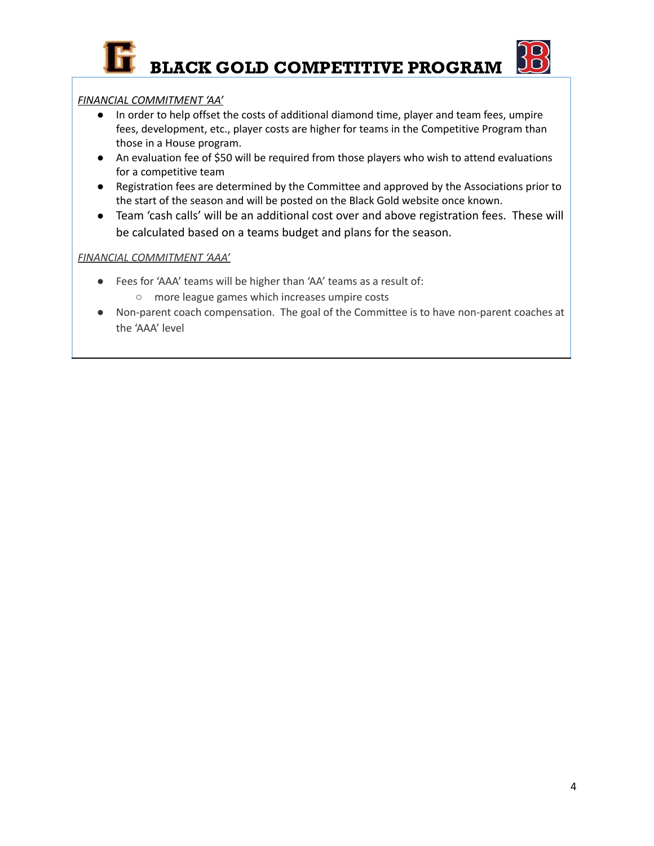

#### *FINANCIAL COMMITMENT 'AA'*

- In order to help offset the costs of additional diamond time, player and team fees, umpire fees, development, etc., player costs are higher for teams in the Competitive Program than those in a House program.
- An evaluation fee of \$50 will be required from those players who wish to attend evaluations for a competitive team
- Registration fees are determined by the Committee and approved by the Associations prior to the start of the season and will be posted on the Black Gold website once known.
- Team 'cash calls' will be an additional cost over and above registration fees. These will be calculated based on a teams budget and plans for the season.

#### *FINANCIAL COMMITMENT 'AAA'*

- Fees for 'AAA' teams will be higher than 'AA' teams as a result of: ○ more league games which increases umpire costs
- Non-parent coach compensation. The goal of the Committee is to have non-parent coaches at the 'AAA' level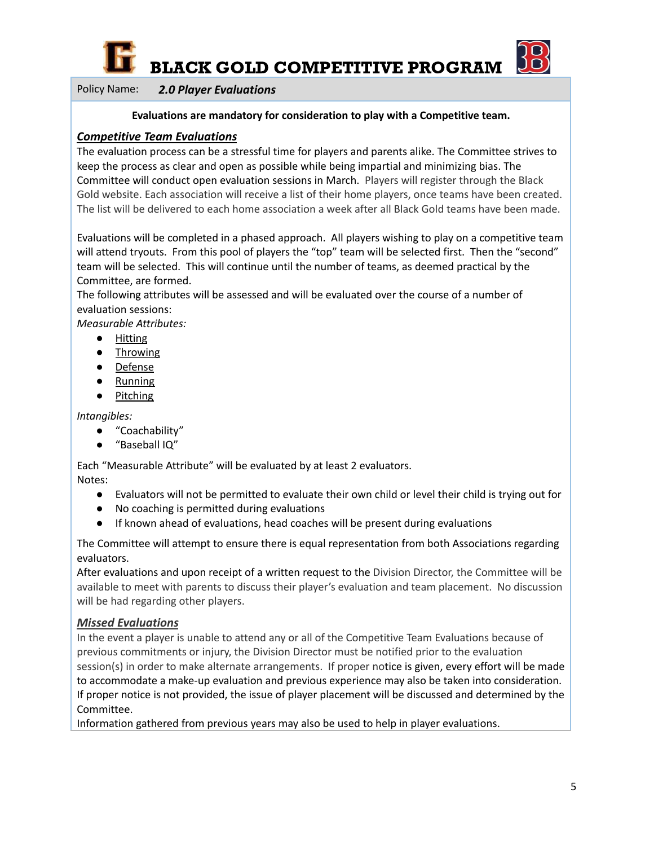



Policy Name: *2.0 Player Evaluations*

#### **Evaluations are mandatory for consideration to play with a Competitive team.**

#### *Competitive Team Evaluations*

The evaluation process can be a stressful time for players and parents alike. The Committee strives to keep the process as clear and open as possible while being impartial and minimizing bias. The Committee will conduct open evaluation sessions in March. Players will register through the Black Gold website. Each association will receive a list of their home players, once teams have been created. The list will be delivered to each home association a week after all Black Gold teams have been made.

Evaluations will be completed in a phased approach. All players wishing to play on a competitive team will attend tryouts. From this pool of players the "top" team will be selected first. Then the "second" team will be selected. This will continue until the number of teams, as deemed practical by the Committee, are formed.

The following attributes will be assessed and will be evaluated over the course of a number of evaluation sessions:

*Measurable Attributes:*

- Hitting
- Throwing
- Defense
- Running
- Pitching

*Intangibles:*

- "Coachability"
- "Baseball IQ"

Each "Measurable Attribute" will be evaluated by at least 2 evaluators. Notes:

- Evaluators will not be permitted to evaluate their own child or level their child is trying out for
- No coaching is permitted during evaluations
- If known ahead of evaluations, head coaches will be present during evaluations

The Committee will attempt to ensure there is equal representation from both Associations regarding evaluators.

After evaluations and upon receipt of a written request to the Division Director, the Committee will be available to meet with parents to discuss their player's evaluation and team placement. No discussion will be had regarding other players.

#### *Missed Evaluations*

In the event a player is unable to attend any or all of the Competitive Team Evaluations because of previous commitments or injury, the Division Director must be notified prior to the evaluation session(s) in order to make alternate arrangements. If proper notice is given, every effort will be made to accommodate a make-up evaluation and previous experience may also be taken into consideration. If proper notice is not provided, the issue of player placement will be discussed and determined by the Committee.

Information gathered from previous years may also be used to help in player evaluations.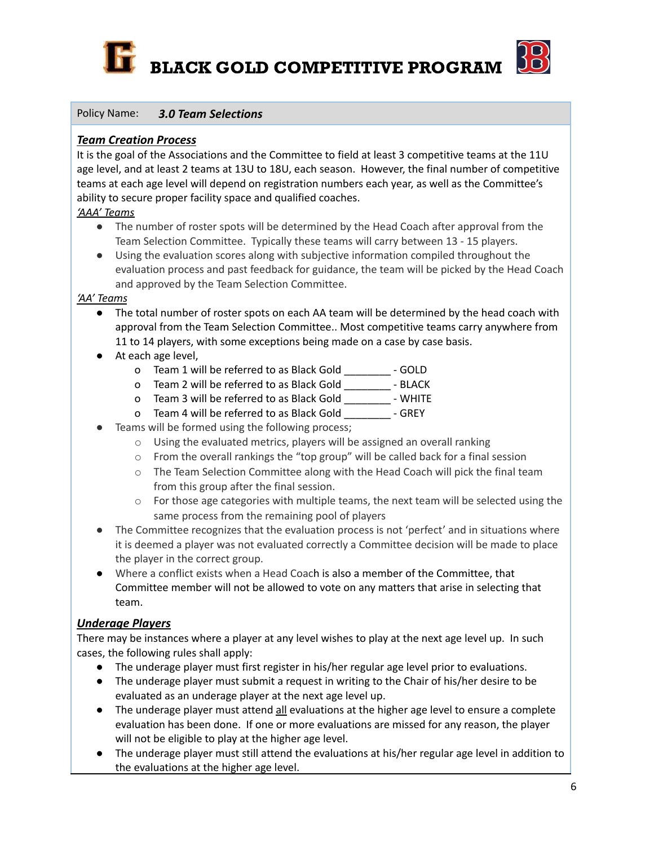



#### Policy Name: *3.0 Team Selections*

#### *Team Creation Process*

It is the goal of the Associations and the Committee to field at least 3 competitive teams at the 11U age level, and at least 2 teams at 13U to 18U, each season. However, the final number of competitive teams at each age level will depend on registration numbers each year, as well as the Committee's ability to secure proper facility space and qualified coaches.

#### *'AAA' Teams*

- The number of roster spots will be determined by the Head Coach after approval from the Team Selection Committee. Typically these teams will carry between 13 - 15 players.
- Using the evaluation scores along with subjective information compiled throughout the evaluation process and past feedback for guidance, the team will be picked by the Head Coach and approved by the Team Selection Committee.

#### *'AA' Teams*

- The total number of roster spots on each AA team will be determined by the head coach with approval from the Team Selection Committee.. Most competitive teams carry anywhere from 11 to 14 players, with some exceptions being made on a case by case basis.
- At each age level,
	- o Team 1 will be referred to as Black Gold \_\_\_\_\_\_\_\_ GOLD
	- o Team 2 will be referred to as Black Gold \_\_\_\_\_\_\_\_ BLACK
	- o Team 3 will be referred to as Black Gold \_\_\_\_\_\_\_\_ WHITE
	- o Team 4 will be referred to as Black Gold \_\_\_\_\_\_\_\_ GREY
- Teams will be formed using the following process;
	- o Using the evaluated metrics, players will be assigned an overall ranking
	- o From the overall rankings the "top group" will be called back for a final session
	- $\circ$  The Team Selection Committee along with the Head Coach will pick the final team from this group after the final session.
	- $\circ$  For those age categories with multiple teams, the next team will be selected using the same process from the remaining pool of players
- The Committee recognizes that the evaluation process is not 'perfect' and in situations where it is deemed a player was not evaluated correctly a Committee decision will be made to place the player in the correct group.
- Where a conflict exists when a Head Coach is also a member of the Committee, that Committee member will not be allowed to vote on any matters that arise in selecting that team.

#### *Underage Players*

There may be instances where a player at any level wishes to play at the next age level up. In such cases, the following rules shall apply:

- The underage player must first register in his/her regular age level prior to evaluations.
- The underage player must submit a request in writing to the Chair of his/her desire to be evaluated as an underage player at the next age level up.
- The underage player must attend all evaluations at the higher age level to ensure a complete evaluation has been done. If one or more evaluations are missed for any reason, the player will not be eligible to play at the higher age level.
- The underage player must still attend the evaluations at his/her regular age level in addition to the evaluations at the higher age level.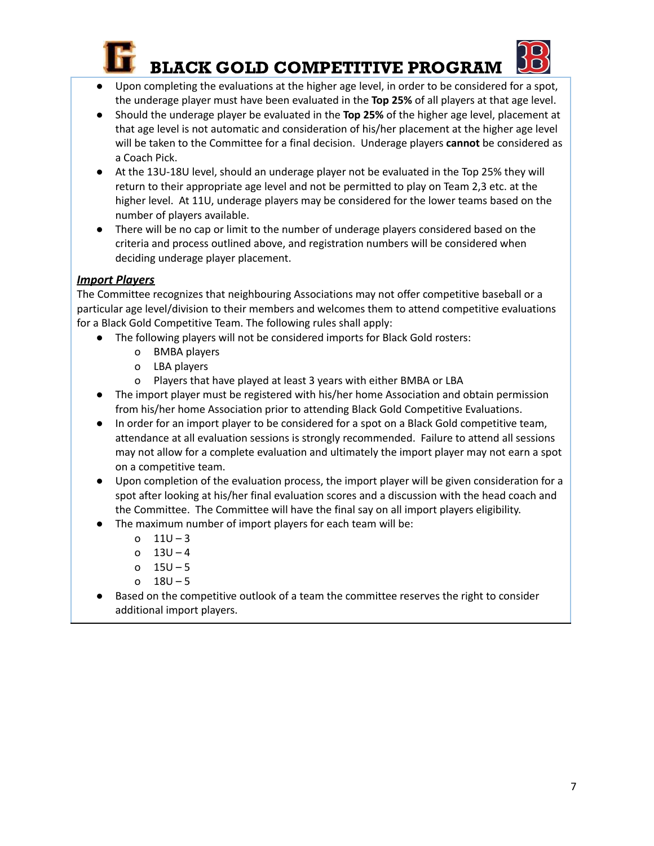

- Upon completing the evaluations at the higher age level, in order to be considered for a spot, the underage player must have been evaluated in the **Top 25%** of all players at that age level.
- Should the underage player be evaluated in the **Top 25%** of the higher age level, placement at that age level is not automatic and consideration of his/her placement at the higher age level will be taken to the Committee for a final decision. Underage players **cannot** be considered as a Coach Pick.
- At the 13U-18U level, should an underage player not be evaluated in the Top 25% they will return to their appropriate age level and not be permitted to play on Team 2,3 etc. at the higher level. At 11U, underage players may be considered for the lower teams based on the number of players available.
- There will be no cap or limit to the number of underage players considered based on the criteria and process outlined above, and registration numbers will be considered when deciding underage player placement.

#### *Import Players*

The Committee recognizes that neighbouring Associations may not offer competitive baseball or a particular age level/division to their members and welcomes them to attend competitive evaluations for a Black Gold Competitive Team. The following rules shall apply:

- The following players will not be considered imports for Black Gold rosters:
	- o BMBA players
	- o LBA players
	- o Players that have played at least 3 years with either BMBA or LBA
- The import player must be registered with his/her home Association and obtain permission from his/her home Association prior to attending Black Gold Competitive Evaluations.
- In order for an import player to be considered for a spot on a Black Gold competitive team, attendance at all evaluation sessions is strongly recommended. Failure to attend all sessions may not allow for a complete evaluation and ultimately the import player may not earn a spot on a competitive team.
- Upon completion of the evaluation process, the import player will be given consideration for a spot after looking at his/her final evaluation scores and a discussion with the head coach and the Committee. The Committee will have the final say on all import players eligibility.
- The maximum number of import players for each team will be:
	- o 11U 3
	- o 13U 4
	- o 15U 5
	- o 18U 5
- Based on the competitive outlook of a team the committee reserves the right to consider additional import players.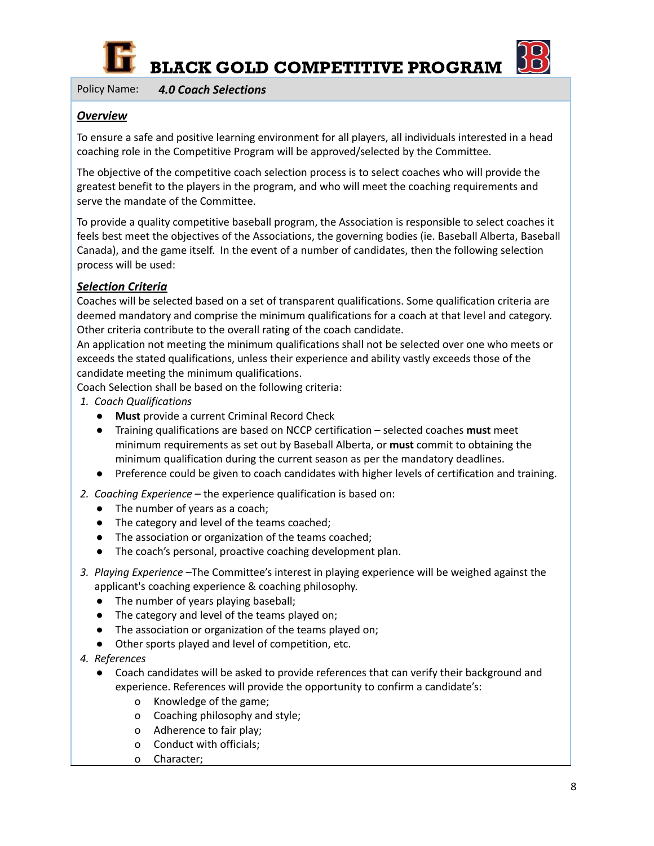

Policy Name: *4.0 Coach Selections*

#### *Overview*

To ensure a safe and positive learning environment for all players, all individuals interested in a head coaching role in the Competitive Program will be approved/selected by the Committee.

The objective of the competitive coach selection process is to select coaches who will provide the greatest benefit to the players in the program, and who will meet the coaching requirements and serve the mandate of the Committee.

To provide a quality competitive baseball program, the Association is responsible to select coaches it feels best meet the objectives of the Associations, the governing bodies (ie. Baseball Alberta, Baseball Canada), and the game itself. In the event of a number of candidates, then the following selection process will be used:

#### *Selection Criteria*

Coaches will be selected based on a set of transparent qualifications. Some qualification criteria are deemed mandatory and comprise the minimum qualifications for a coach at that level and category. Other criteria contribute to the overall rating of the coach candidate.

An application not meeting the minimum qualifications shall not be selected over one who meets or exceeds the stated qualifications, unless their experience and ability vastly exceeds those of the candidate meeting the minimum qualifications.

Coach Selection shall be based on the following criteria:

- *1. Coach Qualifications*
	- **Must** provide a current Criminal Record Check
	- Training qualifications are based on NCCP certification selected coaches **must** meet minimum requirements as set out by Baseball Alberta, or **must** commit to obtaining the minimum qualification during the current season as per the mandatory deadlines.
	- Preference could be given to coach candidates with higher levels of certification and training.
- *2. Coaching Experience* the experience qualification is based on:
	- The number of years as a coach;
	- The category and level of the teams coached;
	- The association or organization of the teams coached;
	- The coach's personal, proactive coaching development plan.
- *3. Playing Experience* –The Committee's interest in playing experience will be weighed against the applicant's coaching experience & coaching philosophy.
	- The number of years playing baseball;
	- The category and level of the teams played on;
	- The association or organization of the teams played on;
	- Other sports played and level of competition, etc.
- *4. References*
	- Coach candidates will be asked to provide references that can verify their background and experience. References will provide the opportunity to confirm a candidate's:
		- o Knowledge of the game;
		- o Coaching philosophy and style;
		- o Adherence to fair play;
		- o Conduct with officials;
		- o Character;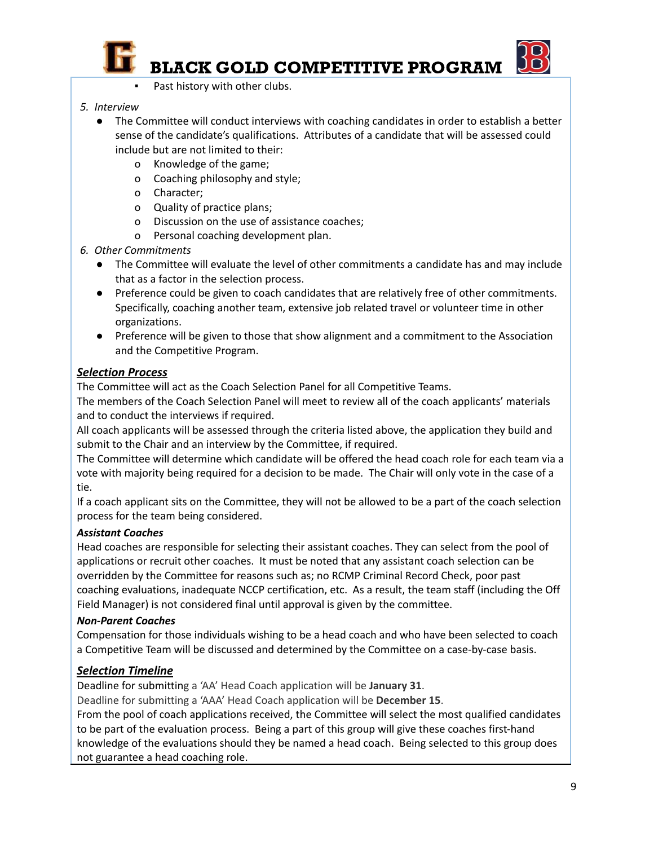

- Past history with other clubs.
- *5. Interview*
	- The Committee will conduct interviews with coaching candidates in order to establish a better sense of the candidate's qualifications. Attributes of a candidate that will be assessed could include but are not limited to their:
		- o Knowledge of the game;
		- o Coaching philosophy and style;
		- o Character;
		- o Quality of practice plans;
		- o Discussion on the use of assistance coaches;
		- o Personal coaching development plan.
- *6. Other Commitments*
	- The Committee will evaluate the level of other commitments a candidate has and may include that as a factor in the selection process.
	- Preference could be given to coach candidates that are relatively free of other commitments. Specifically, coaching another team, extensive job related travel or volunteer time in other organizations.
	- Preference will be given to those that show alignment and a commitment to the Association and the Competitive Program.

#### *Selection Process*

The Committee will act as the Coach Selection Panel for all Competitive Teams.

The members of the Coach Selection Panel will meet to review all of the coach applicants' materials and to conduct the interviews if required.

All coach applicants will be assessed through the criteria listed above, the application they build and submit to the Chair and an interview by the Committee, if required.

The Committee will determine which candidate will be offered the head coach role for each team via a vote with majority being required for a decision to be made. The Chair will only vote in the case of a tie.

If a coach applicant sits on the Committee, they will not be allowed to be a part of the coach selection process for the team being considered.

#### *Assistant Coaches*

Head coaches are responsible for selecting their assistant coaches. They can select from the pool of applications or recruit other coaches. It must be noted that any assistant coach selection can be overridden by the Committee for reasons such as; no RCMP Criminal Record Check, poor past coaching evaluations, inadequate NCCP certification, etc. As a result, the team staff (including the Off Field Manager) is not considered final until approval is given by the committee.

#### *Non-Parent Coaches*

Compensation for those individuals wishing to be a head coach and who have been selected to coach a Competitive Team will be discussed and determined by the Committee on a case-by-case basis.

#### *Selection Timeline*

Deadline for submitting a 'AA' Head Coach application will be **January 31**.

Deadline for submitting a 'AAA' Head Coach application will be **December 15**.

From the pool of coach applications received, the Committee will select the most qualified candidates to be part of the evaluation process. Being a part of this group will give these coaches first-hand knowledge of the evaluations should they be named a head coach. Being selected to this group does not guarantee a head coaching role.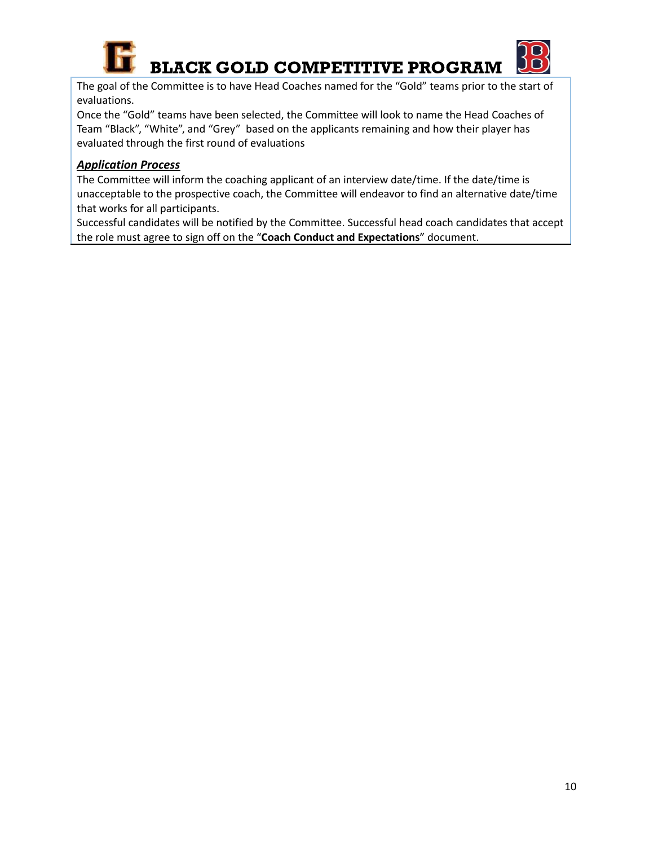

The goal of the Committee is to have Head Coaches named for the "Gold" teams prior to the start of evaluations.

Once the "Gold" teams have been selected, the Committee will look to name the Head Coaches of Team "Black", "White", and "Grey" based on the applicants remaining and how their player has evaluated through the first round of evaluations

#### *Application Process*

The Committee will inform the coaching applicant of an interview date/time. If the date/time is unacceptable to the prospective coach, the Committee will endeavor to find an alternative date/time that works for all participants.

Successful candidates will be notified by the Committee. Successful head coach candidates that accept the role must agree to sign off on the "**Coach Conduct and Expectations**" document.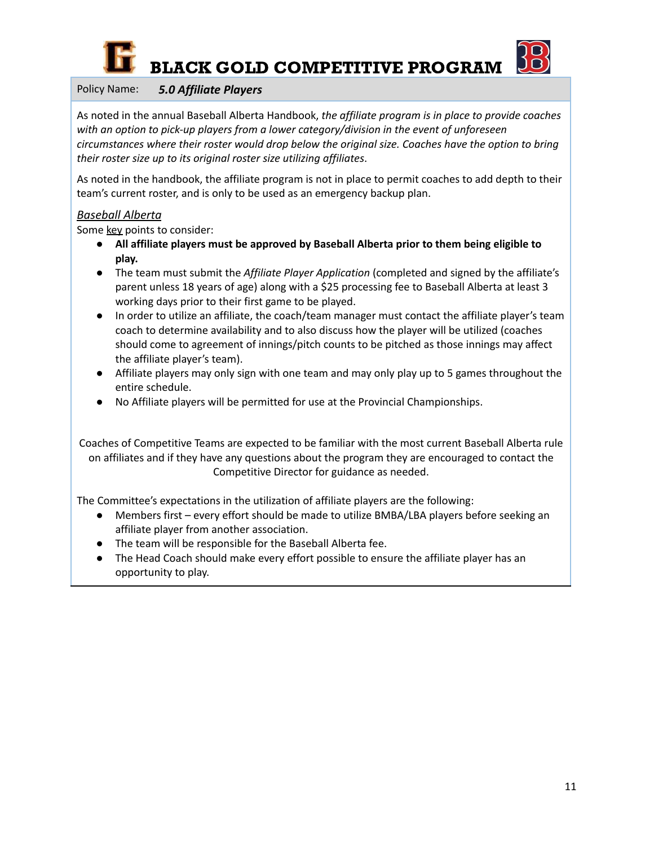

#### Policy Name: *5.0 Affiliate Players*

As noted in the annual Baseball Alberta Handbook, *the affiliate program is in place to provide coaches with an option to pick‐up players from a lower category/division in the event of unforeseen circumstances where their roster would drop below the original size. Coaches have the option to bring their roster size up to its original roster size utilizing affiliates*.

As noted in the handbook, the affiliate program is not in place to permit coaches to add depth to their team's current roster, and is only to be used as an emergency backup plan.

#### *Baseball Alberta*

Some key points to consider:

- **All affiliate players must be approved by Baseball Alberta prior to them being eligible to play.**
- The team must submit the *Affiliate Player Application* (completed and signed by the affiliate's parent unless 18 years of age) along with a \$25 processing fee to Baseball Alberta at least 3 working days prior to their first game to be played.
- In order to utilize an affiliate, the coach/team manager must contact the affiliate player's team coach to determine availability and to also discuss how the player will be utilized (coaches should come to agreement of innings/pitch counts to be pitched as those innings may affect the affiliate player's team).
- Affiliate players may only sign with one team and may only play up to 5 games throughout the entire schedule.
- No Affiliate players will be permitted for use at the Provincial Championships.

Coaches of Competitive Teams are expected to be familiar with the most current Baseball Alberta rule on affiliates and if they have any questions about the program they are encouraged to contact the Competitive Director for guidance as needed.

The Committee's expectations in the utilization of affiliate players are the following:

- Members first every effort should be made to utilize BMBA/LBA players before seeking an affiliate player from another association.
- The team will be responsible for the Baseball Alberta fee.
- The Head Coach should make every effort possible to ensure the affiliate player has an opportunity to play.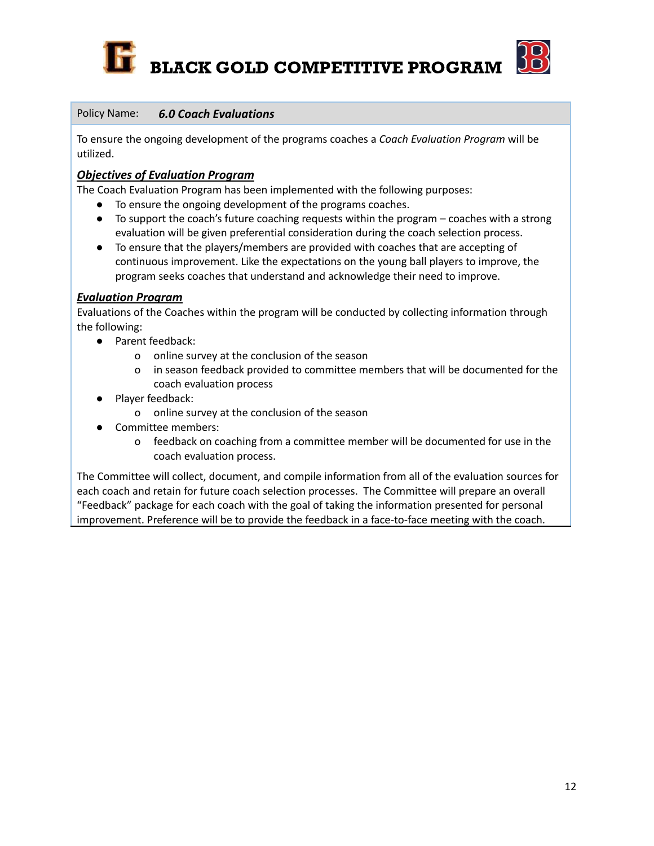



#### Policy Name: *6.0 Coach Evaluations*

To ensure the ongoing development of the programs coaches a *Coach Evaluation Program* will be utilized.

#### *Objectives of Evaluation Program*

The Coach Evaluation Program has been implemented with the following purposes:

- To ensure the ongoing development of the programs coaches.
- To support the coach's future coaching requests within the program coaches with a strong evaluation will be given preferential consideration during the coach selection process.
- To ensure that the players/members are provided with coaches that are accepting of continuous improvement. Like the expectations on the young ball players to improve, the program seeks coaches that understand and acknowledge their need to improve.

#### *Evaluation Program*

Evaluations of the Coaches within the program will be conducted by collecting information through the following:

- Parent feedback:
	- o online survey at the conclusion of the season
	- o in season feedback provided to committee members that will be documented for the coach evaluation process
- Player feedback:
	- o online survey at the conclusion of the season
- Committee members:
	- o feedback on coaching from a committee member will be documented for use in the coach evaluation process.

The Committee will collect, document, and compile information from all of the evaluation sources for each coach and retain for future coach selection processes. The Committee will prepare an overall "Feedback" package for each coach with the goal of taking the information presented for personal improvement. Preference will be to provide the feedback in a face-to-face meeting with the coach.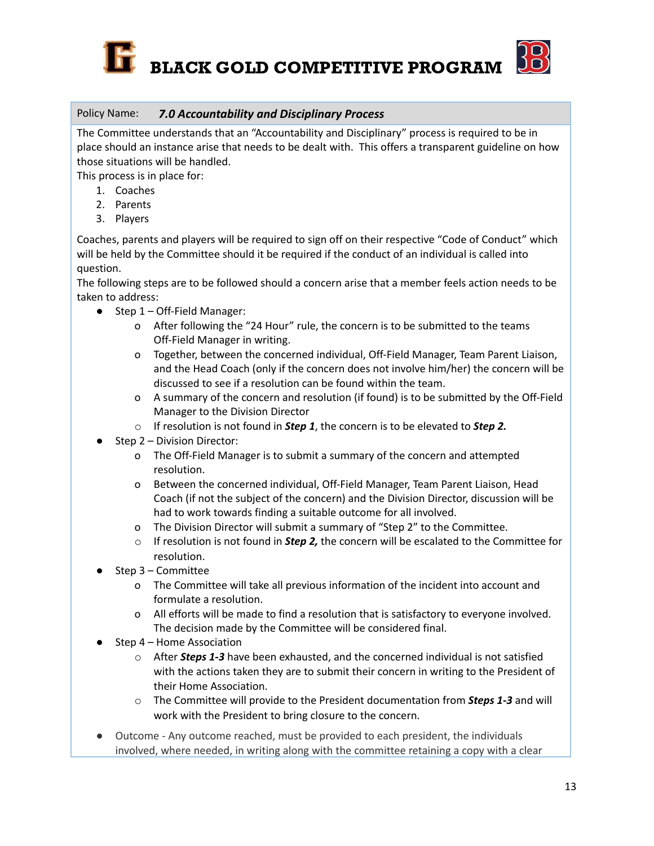

#### Policy Name: *7.0 Accountability and Disciplinary Process*

The Committee understands that an "Accountability and Disciplinary" process is required to be in place should an instance arise that needs to be dealt with. This offers a transparent guideline on how those situations will be handled.

This process is in place for:

- 1. Coaches
- 2. Parents
- 3. Players

Coaches, parents and players will be required to sign off on their respective "Code of Conduct" which will be held by the Committee should it be required if the conduct of an individual is called into question.

The following steps are to be followed should a concern arise that a member feels action needs to be taken to address:

- Step 1 Off-Field Manager:
	- o After following the "24 Hour" rule, the concern is to be submitted to the teams Off-Field Manager in writing.
	- o Together, between the concerned individual, Off-Field Manager, Team Parent Liaison, and the Head Coach (only if the concern does not involve him/her) the concern will be discussed to see if a resolution can be found within the team.
	- o A summary of the concern and resolution (if found) is to be submitted by the Off-Field Manager to the Division Director
	- o If resolution is not found in *Step 1*, the concern is to be elevated to *Step 2.*
- Step 2 Division Director:
	- o The Off-Field Manager is to submit a summary of the concern and attempted resolution.
	- o Between the concerned individual, Off-Field Manager, Team Parent Liaison, Head Coach (if not the subject of the concern) and the Division Director, discussion will be had to work towards finding a suitable outcome for all involved.
	- o The Division Director will submit a summary of "Step 2" to the Committee.
	- o If resolution is not found in *Step 2,* the concern will be escalated to the Committee for resolution.
- $Step 3 Committee$ 
	- o The Committee will take all previous information of the incident into account and formulate a resolution.
	- o All efforts will be made to find a resolution that is satisfactory to everyone involved. The decision made by the Committee will be considered final.
- Step 4 Home Association
	- o After *Steps 1-3* have been exhausted, and the concerned individual is not satisfied with the actions taken they are to submit their concern in writing to the President of their Home Association.
	- o The Committee will provide to the President documentation from *Steps 1-3* and will work with the President to bring closure to the concern.
- Outcome Any outcome reached, must be provided to each president, the individuals involved, where needed, in writing along with the committee retaining a copy with a clear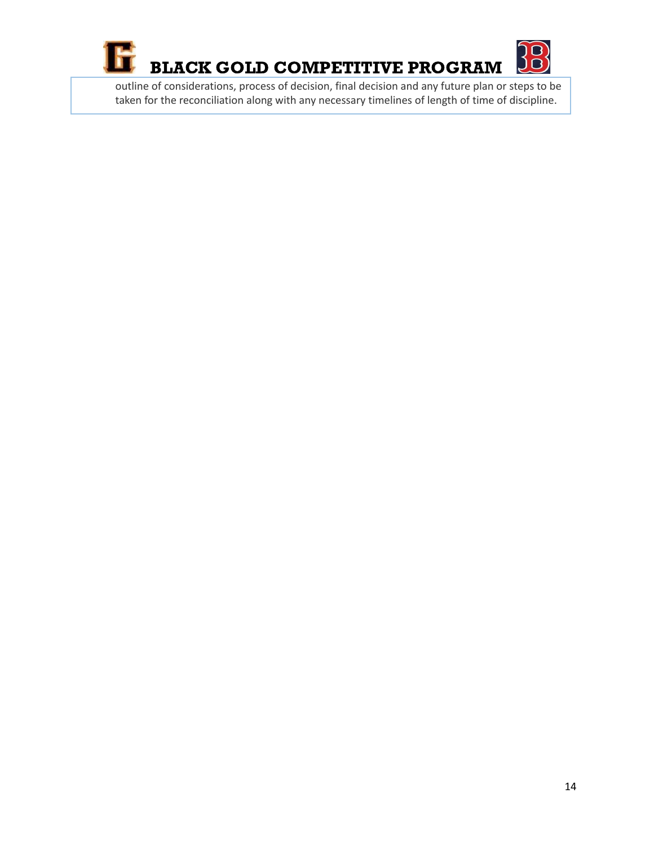



outline of considerations, process of decision, final decision and any future plan or steps to be taken for the reconciliation along with any necessary timelines of length of time of discipline.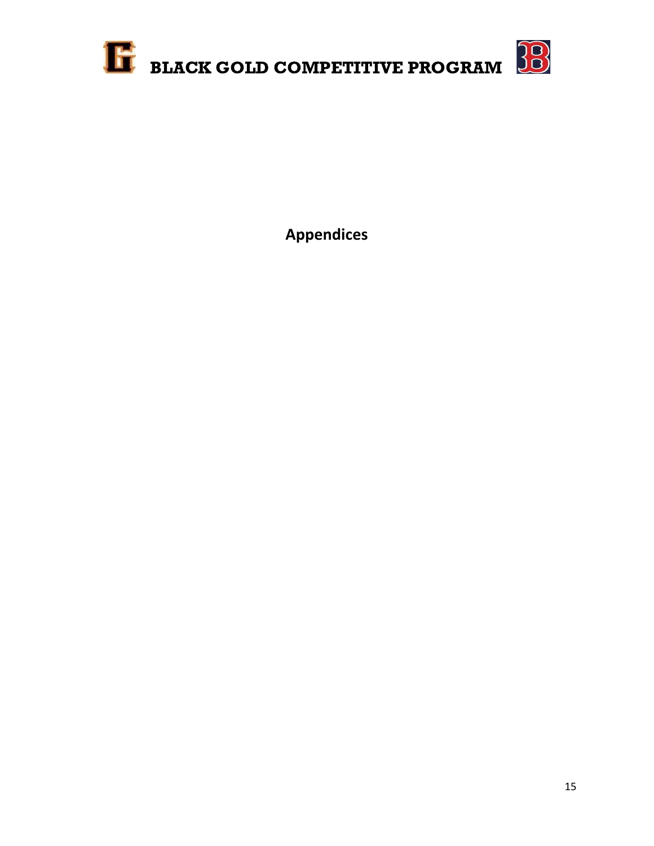

**Appendices**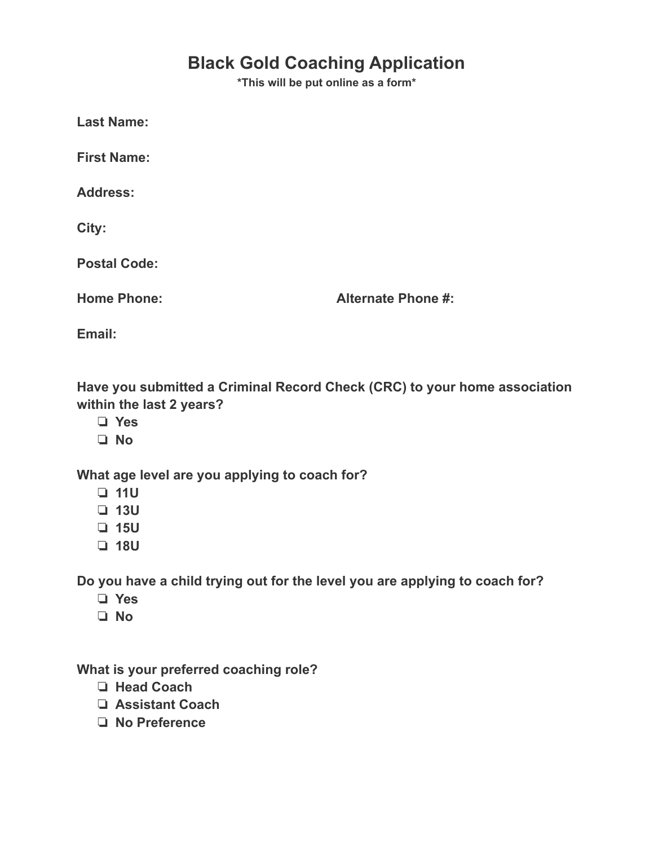# **Black Gold Coaching Application**

**\*This will be put online as a form\***

**Last Name:**

**First Name:**

**Address:**

**City:**

**Postal Code:**

**Home Phone: Alternate Phone #:**

**Email:**

**Have you submitted a Criminal Record Check (CRC) to your home association within the last 2 years?**

- ❏ **Yes**
- ❏ **No**

**What age level are you applying to coach for?**

- ❏ **11U**
- ❏ **13U**
- ❏ **15U**
- ❏ **18U**

**Do you have a child trying out for the level you are applying to coach for?**

- ❏ **Yes**
- ❏ **No**

**What is your preferred coaching role?**

- ❏ **Head Coach**
- ❏ **Assistant Coach**
- ❏ **No Preference**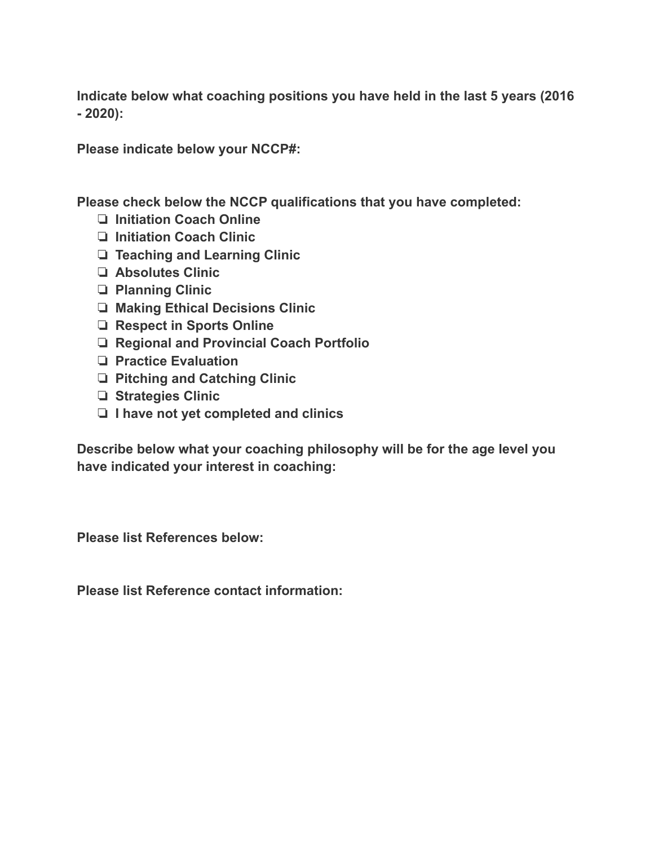**Indicate below what coaching positions you have held in the last 5 years (2016 - 2020):**

**Please indicate below your NCCP#:**

**Please check below the NCCP qualifications that you have completed:**

- ❏ **Initiation Coach Online**
- ❏ **Initiation Coach Clinic**
- ❏ **Teaching and Learning Clinic**
- ❏ **Absolutes Clinic**
- ❏ **Planning Clinic**
- ❏ **Making Ethical Decisions Clinic**
- ❏ **Respect in Sports Online**
- ❏ **Regional and Provincial Coach Portfolio**
- ❏ **Practice Evaluation**
- ❏ **Pitching and Catching Clinic**
- ❏ **Strategies Clinic**
- ❏ **I have not yet completed and clinics**

**Describe below what your coaching philosophy will be for the age level you have indicated your interest in coaching:**

**Please list References below:**

**Please list Reference contact information:**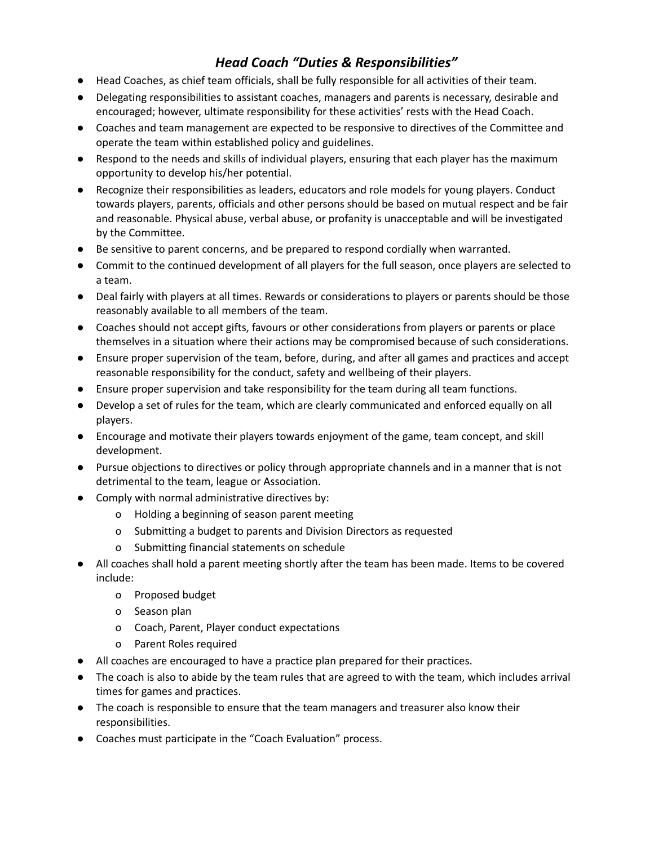# *Head Coach "Duties & Responsibilities"*

- Head Coaches, as chief team officials, shall be fully responsible for all activities of their team.
- Delegating responsibilities to assistant coaches, managers and parents is necessary, desirable and encouraged; however, ultimate responsibility for these activities' rests with the Head Coach.
- Coaches and team management are expected to be responsive to directives of the Committee and operate the team within established policy and guidelines.
- Respond to the needs and skills of individual players, ensuring that each player has the maximum opportunity to develop his/her potential.
- Recognize their responsibilities as leaders, educators and role models for young players. Conduct towards players, parents, officials and other persons should be based on mutual respect and be fair and reasonable. Physical abuse, verbal abuse, or profanity is unacceptable and will be investigated by the Committee.
- Be sensitive to parent concerns, and be prepared to respond cordially when warranted.
- Commit to the continued development of all players for the full season, once players are selected to a team.
- Deal fairly with players at all times. Rewards or considerations to players or parents should be those reasonably available to all members of the team.
- Coaches should not accept gifts, favours or other considerations from players or parents or place themselves in a situation where their actions may be compromised because of such considerations.
- Ensure proper supervision of the team, before, during, and after all games and practices and accept reasonable responsibility for the conduct, safety and wellbeing of their players.
- Ensure proper supervision and take responsibility for the team during all team functions.
- Develop a set of rules for the team, which are clearly communicated and enforced equally on all players.
- Encourage and motivate their players towards enjoyment of the game, team concept, and skill development.
- Pursue objections to directives or policy through appropriate channels and in a manner that is not detrimental to the team, league or Association.
- Comply with normal administrative directives by:
	- o Holding a beginning of season parent meeting
	- o Submitting a budget to parents and Division Directors as requested
	- o Submitting financial statements on schedule
- All coaches shall hold a parent meeting shortly after the team has been made. Items to be covered include:
	- o Proposed budget
	- o Season plan
	- o Coach, Parent, Player conduct expectations
	- o Parent Roles required
- All coaches are encouraged to have a practice plan prepared for their practices.
- The coach is also to abide by the team rules that are agreed to with the team, which includes arrival times for games and practices.
- The coach is responsible to ensure that the team managers and treasurer also know their responsibilities.
- Coaches must participate in the "Coach Evaluation" process.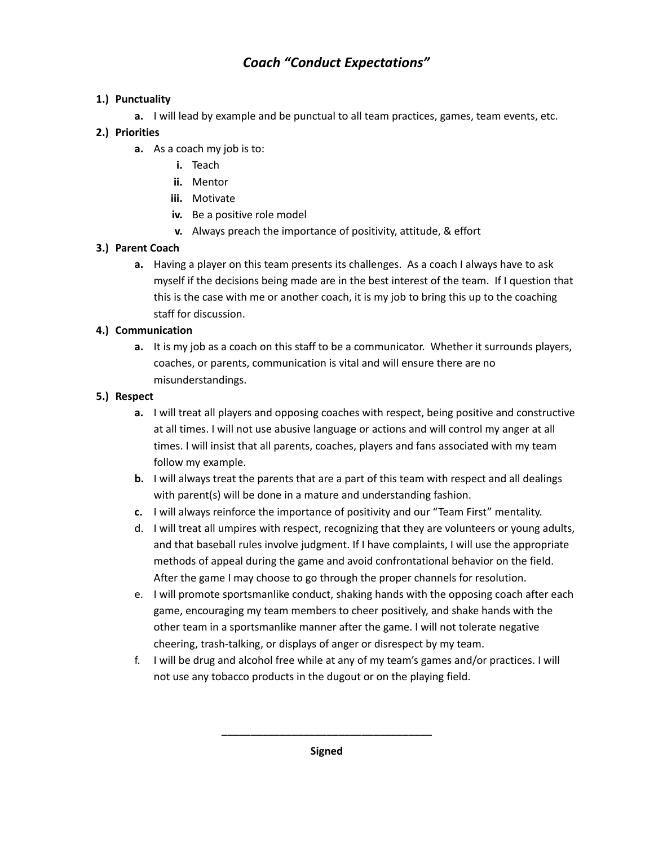# *Coach "Conduct Expectations"*

#### **1.) Punctuality**

**a.** I will lead by example and be punctual to all team practices, games, team events, etc.

#### **2.) Priorities**

- **a.** As a coach my job is to:
	- **i.** Teach
	- **ii.** Mentor
	- **iii.** Motivate
	- **iv.** Be a positive role model
	- **v.** Always preach the importance of positivity, attitude, & effort

#### **3.) Parent Coach**

**a.** Having a player on this team presents its challenges. As a coach I always have to ask myself if the decisions being made are in the best interest of the team. If I question that this is the case with me or another coach, it is my job to bring this up to the coaching staff for discussion.

#### **4.) Communication**

**a.** It is my job as a coach on this staff to be a communicator. Whether it surrounds players, coaches, or parents, communication is vital and will ensure there are no misunderstandings.

#### **5.) Respect**

- **a.** I will treat all players and opposing coaches with respect, being positive and constructive at all times. I will not use abusive language or actions and will control my anger at all times. I will insist that all parents, coaches, players and fans associated with my team follow my example.
- **b.** I will always treat the parents that are a part of this team with respect and all dealings with parent(s) will be done in a mature and understanding fashion.
- **c.** I will always reinforce the importance of positivity and our "Team First" mentality.
- d. I will treat all umpires with respect, recognizing that they are volunteers or young adults, and that baseball rules involve judgment. If I have complaints, I will use the appropriate methods of appeal during the game and avoid confrontational behavior on the field. After the game I may choose to go through the proper channels for resolution.
- e. I will promote sportsmanlike conduct, shaking hands with the opposing coach after each game, encouraging my team members to cheer positively, and shake hands with the other team in a sportsmanlike manner after the game. I will not tolerate negative cheering, trash-talking, or displays of anger or disrespect by my team.
- f. I will be drug and alcohol free while at any of my team's games and/or practices. I will not use any tobacco products in the dugout or on the playing field.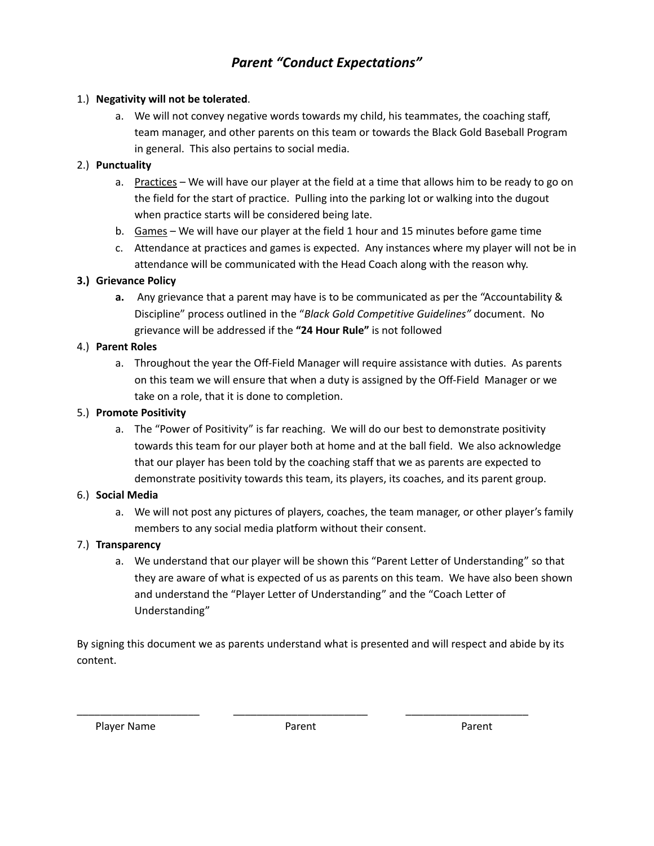# *Parent "Conduct Expectations"*

#### 1.) **Negativity will not be tolerated**.

a. We will not convey negative words towards my child, his teammates, the coaching staff, team manager, and other parents on this team or towards the Black Gold Baseball Program in general. This also pertains to social media.

#### 2.) **Punctuality**

- a. Practices We will have our player at the field at a time that allows him to be ready to go on the field for the start of practice. Pulling into the parking lot or walking into the dugout when practice starts will be considered being late.
- b. Games We will have our player at the field 1 hour and 15 minutes before game time
- c. Attendance at practices and games is expected. Any instances where my player will not be in attendance will be communicated with the Head Coach along with the reason why.

#### **3.) Grievance Policy**

**a.** Any grievance that a parent may have is to be communicated as per the "Accountability & Discipline" process outlined in the "*Black Gold Competitive Guidelines"* document. No grievance will be addressed if the **"24 Hour Rule"** is not followed

#### 4.) **Parent Roles**

a. Throughout the year the Off-Field Manager will require assistance with duties. As parents on this team we will ensure that when a duty is assigned by the Off-Field Manager or we take on a role, that it is done to completion.

#### 5.) **Promote Positivity**

a. The "Power of Positivity" is far reaching. We will do our best to demonstrate positivity towards this team for our player both at home and at the ball field. We also acknowledge that our player has been told by the coaching staff that we as parents are expected to demonstrate positivity towards this team, its players, its coaches, and its parent group.

#### 6.) **Social Media**

a. We will not post any pictures of players, coaches, the team manager, or other player's family members to any social media platform without their consent.

#### 7.) **Transparency**

a. We understand that our player will be shown this "Parent Letter of Understanding" so that they are aware of what is expected of us as parents on this team. We have also been shown and understand the "Player Letter of Understanding" and the "Coach Letter of Understanding"

By signing this document we as parents understand what is presented and will respect and abide by its content.

Player Name **Parent Parent Parent Parent Parent** Parent Parent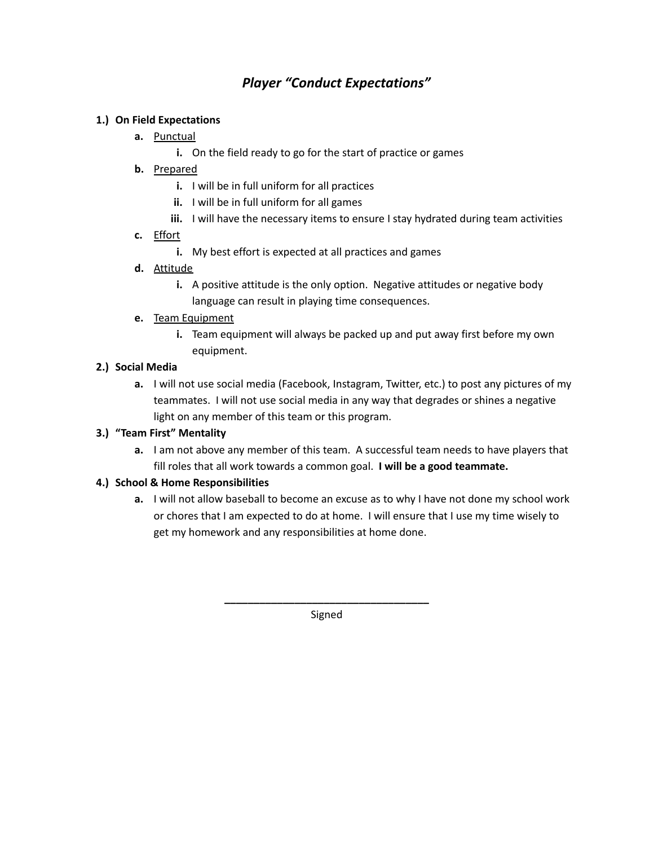### *Player "Conduct Expectations"*

#### **1.) On Field Expectations**

- **a.** Punctual
	- **i.** On the field ready to go for the start of practice or games
- **b.** Prepared
	- **i.** I will be in full uniform for all practices
	- **ii.** I will be in full uniform for all games
	- **iii.** I will have the necessary items to ensure I stay hydrated during team activities
- **c.** Effort
	- **i.** My best effort is expected at all practices and games
- **d.** Attitude
	- **i.** A positive attitude is the only option. Negative attitudes or negative body language can result in playing time consequences.
- **e.** Team Equipment
	- **i.** Team equipment will always be packed up and put away first before my own equipment.

#### **2.) Social Media**

**a.** I will not use social media (Facebook, Instagram, Twitter, etc.) to post any pictures of my teammates. I will not use social media in any way that degrades or shines a negative light on any member of this team or this program.

#### **3.) "Team First" Mentality**

**a.** I am not above any member of this team. A successful team needs to have players that fill roles that all work towards a common goal. **I will be a good teammate.**

#### **4.) School & Home Responsibilities**

**a.** I will not allow baseball to become an excuse as to why I have not done my school work or chores that I am expected to do at home. I will ensure that I use my time wisely to get my homework and any responsibilities at home done.

> **\_\_\_\_\_\_\_\_\_\_\_\_\_\_\_\_\_\_\_\_\_\_\_\_\_\_\_\_\_\_\_\_\_\_\_** Signed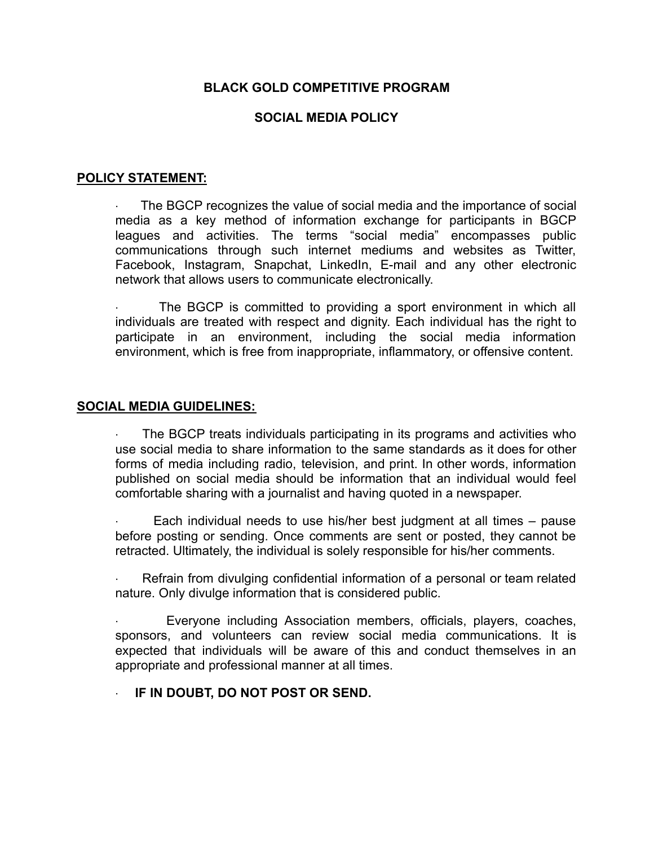#### **SOCIAL MEDIA POLICY**

#### **POLICY STATEMENT:**

The BGCP recognizes the value of social media and the importance of social media as a key method of information exchange for participants in BGCP leagues and activities. The terms "social media" encompasses public communications through such internet mediums and websites as Twitter, Facebook, Instagram, Snapchat, LinkedIn, E-mail and any other electronic network that allows users to communicate electronically.

The BGCP is committed to providing a sport environment in which all individuals are treated with respect and dignity. Each individual has the right to participate in an environment, including the social media information environment, which is free from inappropriate, inflammatory, or offensive content.

#### **SOCIAL MEDIA GUIDELINES:**

The BGCP treats individuals participating in its programs and activities who use social media to share information to the same standards as it does for other forms of media including radio, television, and print. In other words, information published on social media should be information that an individual would feel comfortable sharing with a journalist and having quoted in a newspaper.

Each individual needs to use his/her best judgment at all times – pause before posting or sending. Once comments are sent or posted, they cannot be retracted. Ultimately, the individual is solely responsible for his/her comments.

· Refrain from divulging confidential information of a personal or team related nature. Only divulge information that is considered public.

Everyone including Association members, officials, players, coaches, sponsors, and volunteers can review social media communications. It is expected that individuals will be aware of this and conduct themselves in an appropriate and professional manner at all times.

#### · **IF IN DOUBT, DO NOT POST OR SEND.**